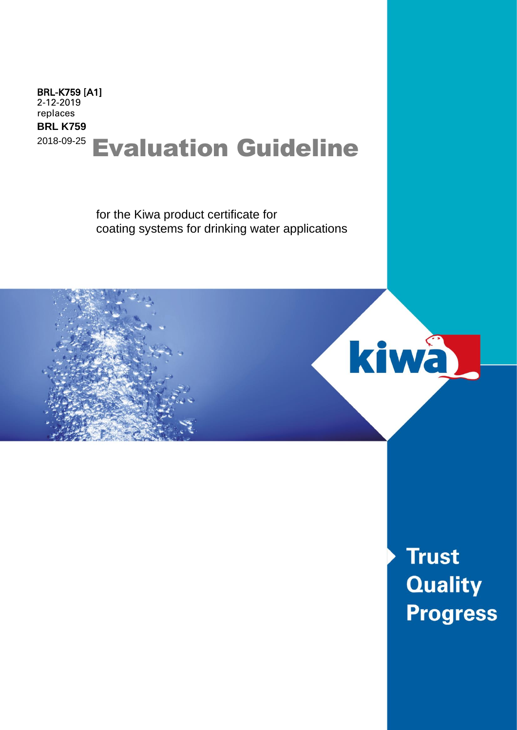## Evaluation Guideline BRL-K759 [A1] 2-12-2019 replaces **BRL K759** 2018-09-25

for the Kiwa product certificate for coating systems for drinking water applications



**Trust Quality Progress**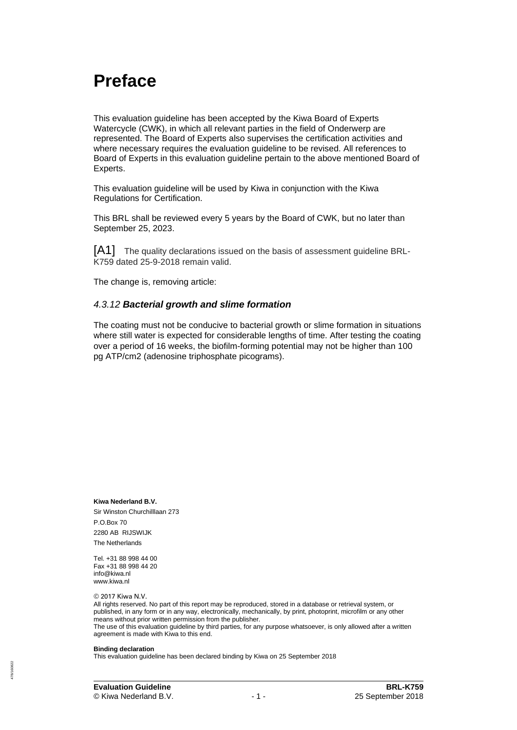## **Preface**

This evaluation guideline has been accepted by the Kiwa Board of Experts Watercycle (CWK), in which all relevant parties in the field of Onderwerp are represented. The Board of Experts also supervises the certification activities and where necessary requires the evaluation guideline to be revised. All references to Board of Experts in this evaluation guideline pertain to the above mentioned Board of Experts.

This evaluation guideline will be used by Kiwa in conjunction with the Kiwa Regulations for Certification.

This BRL shall be reviewed every 5 years by the Board of CWK, but no later than September 25, 2023.

[A1] The quality declarations issued on the basis of assessment guideline BRL-K759 dated 25-9-2018 remain valid.

The change is, removing article:

#### *4.3.12 Bacterial growth and slime formation*

The coating must not be conducive to bacterial growth or slime formation in situations where still water is expected for considerable lengths of time. After testing the coating over a period of 16 weeks, the biofilm-forming potential may not be higher than 100 pg ATP/cm2 (adenosine triphosphate picograms).

**Kiwa Nederland B.V.** Sir Winston Churchilllaan 273 P.O.Box 70 2280 AB RIJSWIJK The Netherlands

Tel. +31 88 998 44 00 Fax +31 88 998 44 20 info@kiwa.nl www.kiwa.nl

© 2017 Kiwa N.V.

All rights reserved. No part of this report may be reproduced, stored in a database or retrieval system, or published, in any form or in any way, electronically, mechanically, by print, photoprint, microfilm or any other means without prior written permission from the publisher. The use of this evaluation guideline by third parties, for any purpose whatsoever, is only allowed after a written agreement is made with Kiwa to this end.

#### **Binding declaration**

478/160822**78/160822**  This evaluation guideline has been declared binding by Kiwa on 25 September 2018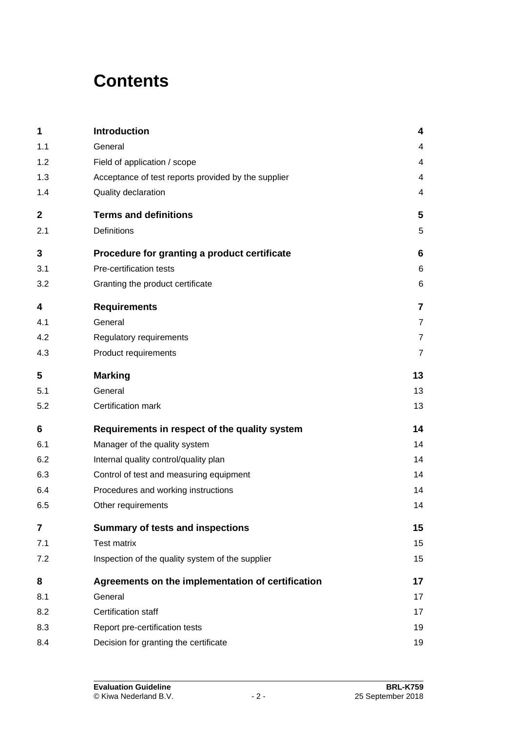# **Contents**

| 1           | Introduction                                        | 4              |
|-------------|-----------------------------------------------------|----------------|
| 1.1         | General                                             | 4              |
| 1.2         | Field of application / scope                        | 4              |
| 1.3         | Acceptance of test reports provided by the supplier | 4              |
| 1.4         | Quality declaration                                 | 4              |
| $\mathbf 2$ | <b>Terms and definitions</b>                        | 5              |
| 2.1         | Definitions                                         | 5              |
| 3           | Procedure for granting a product certificate        | 6              |
| 3.1         | Pre-certification tests                             | 6              |
| 3.2         | Granting the product certificate                    | 6              |
| 4           | <b>Requirements</b>                                 | $\overline{7}$ |
| 4.1         | General                                             | $\overline{7}$ |
| 4.2         | Regulatory requirements                             | $\overline{7}$ |
| 4.3         | Product requirements                                | $\overline{7}$ |
| 5           | <b>Marking</b>                                      | 13             |
| 5.1         | General                                             | 13             |
| 5.2         | Certification mark                                  | 13             |
| 6           | Requirements in respect of the quality system       | 14             |
| 6.1         | Manager of the quality system                       | 14             |
| 6.2         | Internal quality control/quality plan               | 14             |
| 6.3         | Control of test and measuring equipment             | 14             |
| 6.4         | Procedures and working instructions                 | 14             |
| 6.5         | Other requirements                                  | 14             |
| 7           | <b>Summary of tests and inspections</b>             | 15             |
| 7.1         | <b>Test matrix</b>                                  | 15             |
| 7.2         | Inspection of the quality system of the supplier    | 15             |
| 8           | Agreements on the implementation of certification   | 17             |
| 8.1         | General                                             | 17             |
| 8.2         | <b>Certification staff</b>                          | 17             |
| 8.3         | Report pre-certification tests                      | 19             |
| 8.4         | Decision for granting the certificate               | 19             |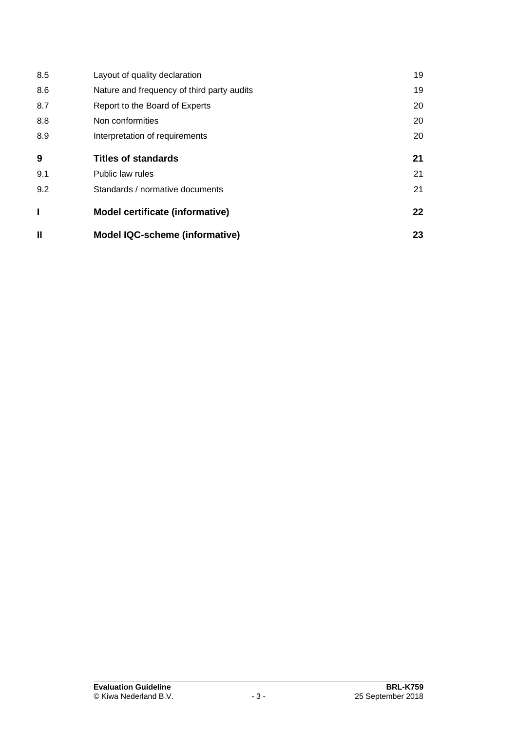| 8.5          | Layout of quality declaration              | 19 |
|--------------|--------------------------------------------|----|
| 8.6          | Nature and frequency of third party audits | 19 |
| 8.7          | Report to the Board of Experts             | 20 |
| 8.8          | Non conformities                           | 20 |
| 8.9          | Interpretation of requirements             | 20 |
| 9            | <b>Titles of standards</b>                 | 21 |
| 9.1          | Public law rules                           | 21 |
| 9.2          | Standards / normative documents            | 21 |
|              | <b>Model certificate (informative)</b>     | 22 |
| $\mathbf{I}$ | <b>Model IQC-scheme (informative)</b>      | 23 |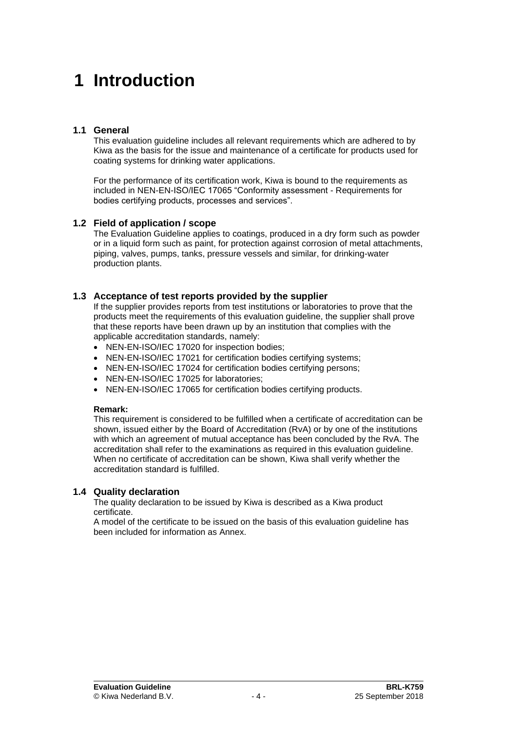# **1 Introduction**

#### **1.1 General**

This evaluation guideline includes all relevant requirements which are adhered to by Kiwa as the basis for the issue and maintenance of a certificate for products used for coating systems for drinking water applications.

For the performance of its certification work, Kiwa is bound to the requirements as included in NEN-EN-ISO/IEC 17065 "Conformity assessment - Requirements for bodies certifying products, processes and services".

### **1.2 Field of application / scope**

The Evaluation Guideline applies to coatings, produced in a dry form such as powder or in a liquid form such as paint, for protection against corrosion of metal attachments, piping, valves, pumps, tanks, pressure vessels and similar, for drinking-water production plants.

#### **1.3 Acceptance of test reports provided by the supplier**

If the supplier provides reports from test institutions or laboratories to prove that the products meet the requirements of this evaluation guideline, the supplier shall prove that these reports have been drawn up by an institution that complies with the applicable accreditation standards, namely:

- NEN-EN-ISO/IEC 17020 for inspection bodies;
- NEN-EN-ISO/IEC 17021 for certification bodies certifying systems;
- NEN-EN-ISO/IEC 17024 for certification bodies certifying persons;
- NEN-EN-ISO/IEC 17025 for laboratories;
- NEN-EN-ISO/IEC 17065 for certification bodies certifying products.

#### **Remark:**

This requirement is considered to be fulfilled when a certificate of accreditation can be shown, issued either by the Board of Accreditation (RvA) or by one of the institutions with which an agreement of mutual acceptance has been concluded by the RvA. The accreditation shall refer to the examinations as required in this evaluation guideline. When no certificate of accreditation can be shown, Kiwa shall verify whether the accreditation standard is fulfilled.

#### **1.4 Quality declaration**

The quality declaration to be issued by Kiwa is described as a Kiwa product certificate.

A model of the certificate to be issued on the basis of this evaluation guideline has been included for information as Annex.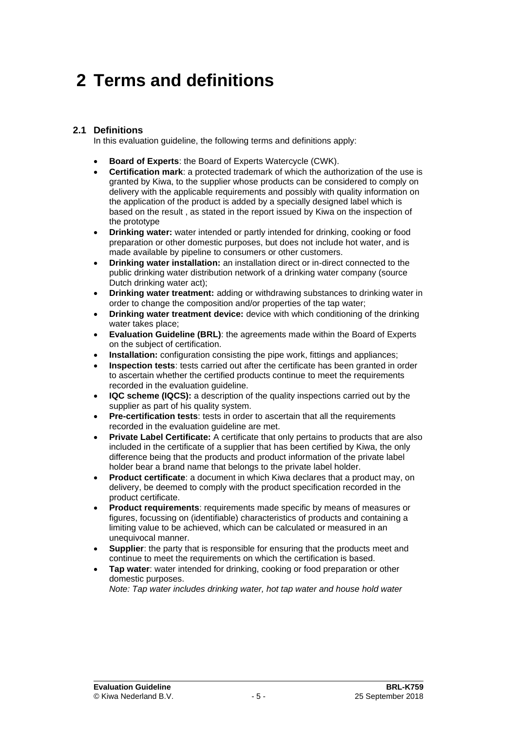# **2 Terms and definitions**

### **2.1 Definitions**

In this evaluation guideline, the following terms and definitions apply:

- **Board of Experts**: the Board of Experts Watercycle (CWK).
- **Certification mark**: a protected trademark of which the authorization of the use is granted by Kiwa, to the supplier whose products can be considered to comply on delivery with the applicable requirements and possibly with quality information on the application of the product is added by a specially designed label which is based on the result , as stated in the report issued by Kiwa on the inspection of the prototype
- **Drinking water:** water intended or partly intended for drinking, cooking or food preparation or other domestic purposes, but does not include hot water, and is made available by pipeline to consumers or other customers.
- **Drinking water installation:** an installation direct or in-direct connected to the public drinking water distribution network of a drinking water company (source Dutch drinking water act);
- **Drinking water treatment:** adding or withdrawing substances to drinking water in order to change the composition and/or properties of the tap water;
- **Drinking water treatment device:** device with which conditioning of the drinking water takes place;
- **Evaluation Guideline (BRL)**: the agreements made within the Board of Experts on the subject of certification.
- **Installation:** configuration consisting the pipe work, fittings and appliances;
- **Inspection tests**: tests carried out after the certificate has been granted in order to ascertain whether the certified products continue to meet the requirements recorded in the evaluation guideline.
- **IQC scheme (IQCS):** a description of the quality inspections carried out by the supplier as part of his quality system.
- **Pre-certification tests**: tests in order to ascertain that all the requirements recorded in the evaluation guideline are met.
- **Private Label Certificate:** A certificate that only pertains to products that are also included in the certificate of a supplier that has been certified by Kiwa, the only difference being that the products and product information of the private label holder bear a brand name that belongs to the private label holder.
- **Product certificate**: a document in which Kiwa declares that a product may, on delivery, be deemed to comply with the product specification recorded in the product certificate.
- **Product requirements**: requirements made specific by means of measures or figures, focussing on (identifiable) characteristics of products and containing a limiting value to be achieved, which can be calculated or measured in an unequivocal manner.
- **Supplier:** the party that is responsible for ensuring that the products meet and continue to meet the requirements on which the certification is based.
- **Tap water:** water intended for drinking, cooking or food preparation or other domestic purposes.

*Note: Tap water includes drinking water, hot tap water and house hold water*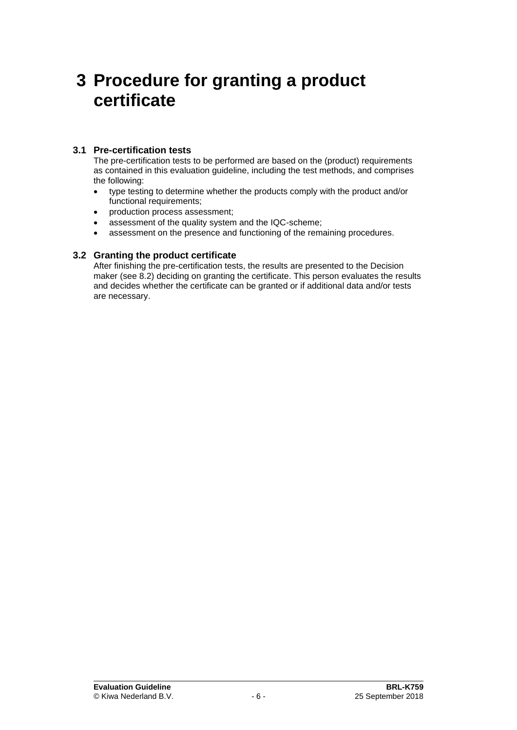## **3 Procedure for granting a product certificate**

### **3.1 Pre-certification tests**

The pre-certification tests to be performed are based on the (product) requirements as contained in this evaluation guideline, including the test methods, and comprises the following:

- type testing to determine whether the products comply with the product and/or functional requirements;
- production process assessment;
- assessment of the quality system and the IQC-scheme;
- assessment on the presence and functioning of the remaining procedures.

### **3.2 Granting the product certificate**

After finishing the pre-certification tests, the results are presented to the Decision maker (see [8.2\)](#page-17-0) deciding on granting the certificate. This person evaluates the results and decides whether the certificate can be granted or if additional data and/or tests are necessary.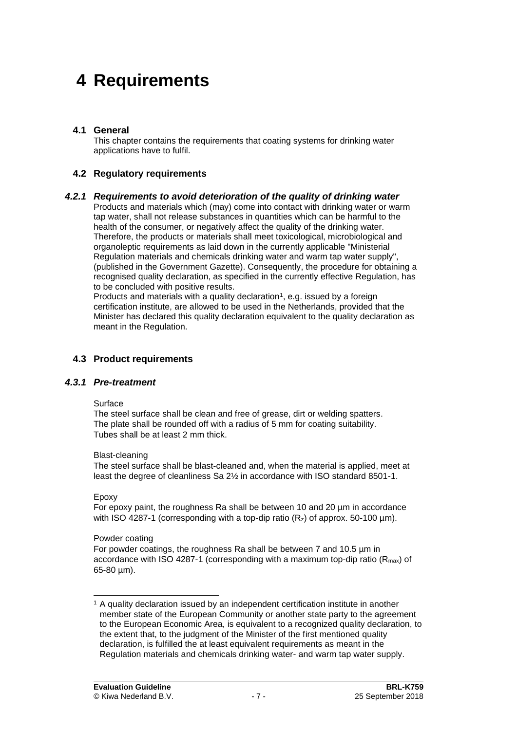# **4 Requirements**

### **4.1 General**

This chapter contains the requirements that coating systems for drinking water applications have to fulfil.

#### **4.2 Regulatory requirements**

#### *4.2.1 Requirements to avoid deterioration of the quality of drinking water*

Products and materials which (may) come into contact with drinking water or warm tap water, shall not release substances in quantities which can be harmful to the health of the consumer, or negatively affect the quality of the drinking water. Therefore, the products or materials shall meet toxicological, microbiological and organoleptic requirements as laid down in the currently applicable "Ministerial Regulation materials and chemicals drinking water and warm tap water supply", (published in the Government Gazette). Consequently, the procedure for obtaining a recognised quality declaration, as specified in the currently effective Regulation, has to be concluded with positive results.

Products and materials with a quality declaration<sup>1</sup>, e.g. issued by a foreign certification institute, are allowed to be used in the Netherlands, provided that the Minister has declared this quality declaration equivalent to the quality declaration as meant in the Regulation.

#### **4.3 Product requirements**

#### *4.3.1 Pre-treatment*

#### Surface

The steel surface shall be clean and free of grease, dirt or welding spatters. The plate shall be rounded off with a radius of 5 mm for coating suitability. Tubes shall be at least 2 mm thick.

#### Blast-cleaning

The steel surface shall be blast-cleaned and, when the material is applied, meet at least the degree of cleanliness Sa 2½ in accordance with ISO standard 8501-1.

#### Epoxy

For epoxy paint, the roughness Ra shall be between 10 and 20 µm in accordance with ISO 4287-1 (corresponding with a top-dip ratio  $(R_z)$  of approx. 50-100  $\mu$ m).

#### Powder coating

For powder coatings, the roughness Ra shall be between 7 and 10.5 µm in accordance with ISO 4287-1 (corresponding with a maximum top-dip ratio  $(R_{\text{max}})$  of 65-80 µm).

<sup>1</sup> A quality declaration issued by an independent certification institute in another member state of the European Community or another state party to the agreement to the European Economic Area, is equivalent to a recognized quality declaration, to the extent that, to the judgment of the Minister of the first mentioned quality declaration, is fulfilled the at least equivalent requirements as meant in the Regulation materials and chemicals drinking water- and warm tap water supply.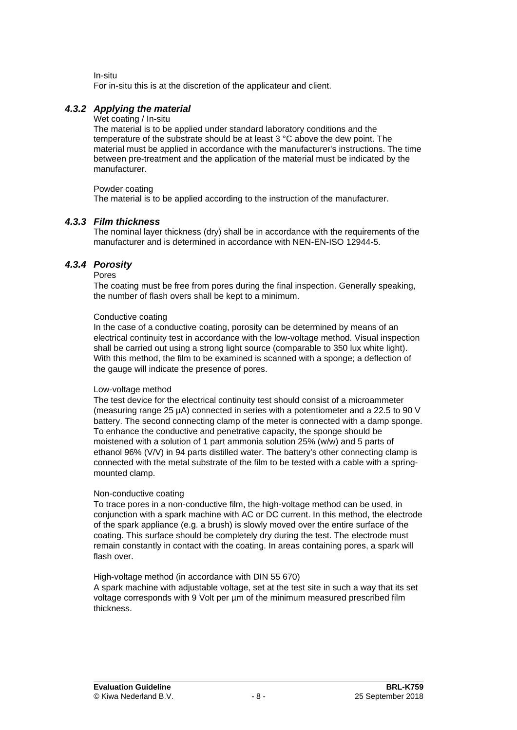In-situ

For in-situ this is at the discretion of the applicateur and client.

### *4.3.2 Applying the material*

Wet coating / In-situ

The material is to be applied under standard laboratory conditions and the temperature of the substrate should be at least 3 °C above the dew point. The material must be applied in accordance with the manufacturer's instructions. The time between pre-treatment and the application of the material must be indicated by the manufacturer.

#### Powder coating

<span id="page-8-0"></span>The material is to be applied according to the instruction of the manufacturer.

### *4.3.3 Film thickness*

<span id="page-8-1"></span>The nominal layer thickness (dry) shall be in accordance with the requirements of the manufacturer and is determined in accordance with NEN-EN-ISO 12944-5.

### *4.3.4 Porosity*

#### Pores

The coating must be free from pores during the final inspection. Generally speaking, the number of flash overs shall be kept to a minimum.

#### Conductive coating

In the case of a conductive coating, porosity can be determined by means of an electrical continuity test in accordance with the low-voltage method. Visual inspection shall be carried out using a strong light source (comparable to 350 lux white light). With this method, the film to be examined is scanned with a sponge; a deflection of the gauge will indicate the presence of pores.

#### Low-voltage method

The test device for the electrical continuity test should consist of a microammeter (measuring range 25 µA) connected in series with a potentiometer and a 22.5 to 90 V battery. The second connecting clamp of the meter is connected with a damp sponge. To enhance the conductive and penetrative capacity, the sponge should be moistened with a solution of 1 part ammonia solution 25% (w/w) and 5 parts of ethanol 96% (V/V) in 94 parts distilled water. The battery's other connecting clamp is connected with the metal substrate of the film to be tested with a cable with a springmounted clamp.

#### Non-conductive coating

To trace pores in a non-conductive film, the high-voltage method can be used, in conjunction with a spark machine with AC or DC current. In this method, the electrode of the spark appliance (e.g. a brush) is slowly moved over the entire surface of the coating. This surface should be completely dry during the test. The electrode must remain constantly in contact with the coating. In areas containing pores, a spark will flash over.

#### High-voltage method (in accordance with DIN 55 670)

A spark machine with adjustable voltage, set at the test site in such a way that its set voltage corresponds with 9 Volt per um of the minimum measured prescribed film thickness.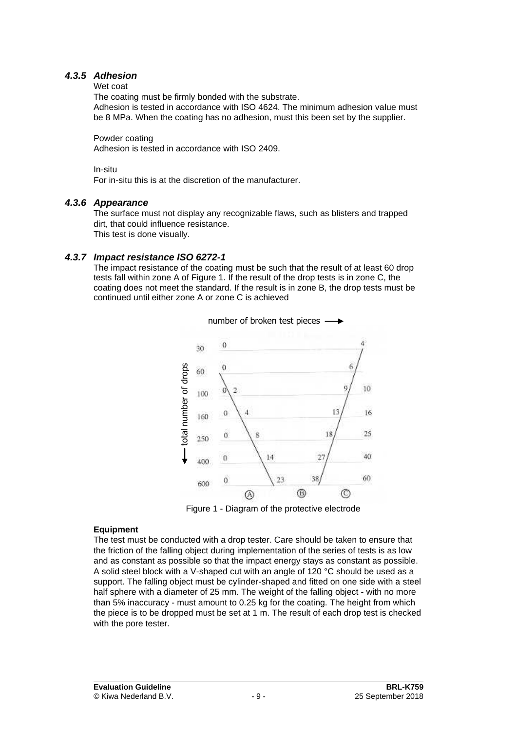### *4.3.5 Adhesion*

#### <span id="page-9-1"></span>Wet coat

The coating must be firmly bonded with the substrate.

Adhesion is tested in accordance with ISO 4624. The minimum adhesion value must be 8 MPa. When the coating has no adhesion, must this been set by the supplier.

Powder coating

Adhesion is tested in accordance with ISO 2409.

In-situ

<span id="page-9-0"></span>For in-situ this is at the discretion of the manufacturer.

#### *4.3.6 Appearance*

The surface must not display any recognizable flaws, such as blisters and trapped dirt, that could influence resistance. This test is done visually.

#### *4.3.7 Impact resistance ISO 6272-1*

<span id="page-9-2"></span>The impact resistance of the coating must be such that the result of at least 60 drop tests fall within zone A of Figure 1. If the result of the drop tests is in zone C, the coating does not meet the standard. If the result is in zone B, the drop tests must be continued until either zone A or zone C is achieved



Figure 1 - Diagram of the protective electrode

#### **Equipment**

The test must be conducted with a drop tester. Care should be taken to ensure that the friction of the falling object during implementation of the series of tests is as low and as constant as possible so that the impact energy stays as constant as possible. A solid steel block with a V-shaped cut with an angle of 120 °C should be used as a support. The falling object must be cylinder-shaped and fitted on one side with a steel half sphere with a diameter of 25 mm. The weight of the falling object - with no more than 5% inaccuracy - must amount to 0.25 kg for the coating. The height from which the piece is to be dropped must be set at 1 m. The result of each drop test is checked with the pore tester.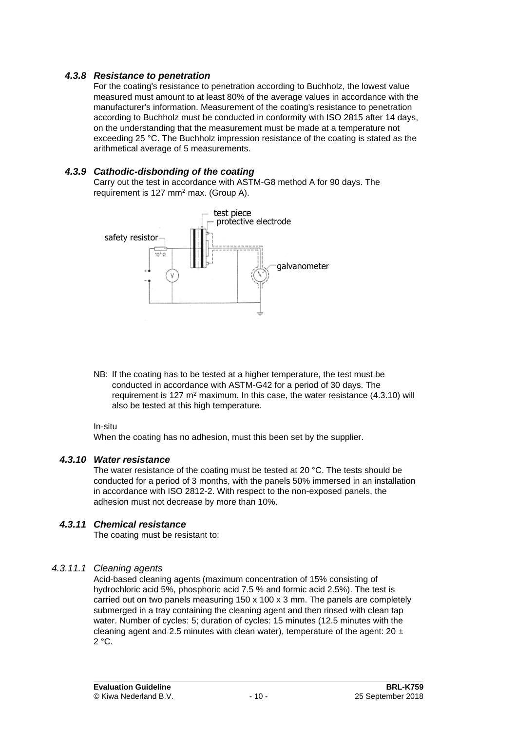### *4.3.8 Resistance to penetration*

<span id="page-10-0"></span>For the coating's resistance to penetration according to Buchholz, the lowest value measured must amount to at least 80% of the average values in accordance with the manufacturer's information. Measurement of the coating's resistance to penetration according to Buchholz must be conducted in conformity with ISO 2815 after 14 days, on the understanding that the measurement must be made at a temperature not exceeding 25 °C. The Buchholz impression resistance of the coating is stated as the arithmetical average of 5 measurements.

### *4.3.9 Cathodic-disbonding of the coating*

<span id="page-10-1"></span>Carry out the test in accordance with ASTM-G8 method A for 90 days. The requirement is 127 mm<sup>2</sup> max. (Group A).



NB: If the coating has to be tested at a higher temperature, the test must be conducted in accordance with ASTM-G42 for a period of 30 days. The requirement is 127  $m<sup>2</sup>$  maximum. In this case, the water resistance (4.3.10) will also be tested at this high temperature.

#### In-situ

<span id="page-10-2"></span>When the coating has no adhesion, must this been set by the supplier.

#### *4.3.10 Water resistance*

The water resistance of the coating must be tested at 20 °C. The tests should be conducted for a period of 3 months, with the panels 50% immersed in an installation in accordance with ISO 2812-2. With respect to the non-exposed panels, the adhesion must not decrease by more than 10%.

### *4.3.11 Chemical resistance*

<span id="page-10-3"></span>The coating must be resistant to:

### *4.3.11.1 Cleaning agents*

Acid-based cleaning agents (maximum concentration of 15% consisting of hydrochloric acid 5%, phosphoric acid 7.5 % and formic acid 2.5%). The test is carried out on two panels measuring 150 x 100 x 3 mm. The panels are completely submerged in a tray containing the cleaning agent and then rinsed with clean tap water. Number of cycles: 5; duration of cycles: 15 minutes (12.5 minutes with the cleaning agent and 2.5 minutes with clean water), temperature of the agent:  $20 \pm$  $2 °C$ .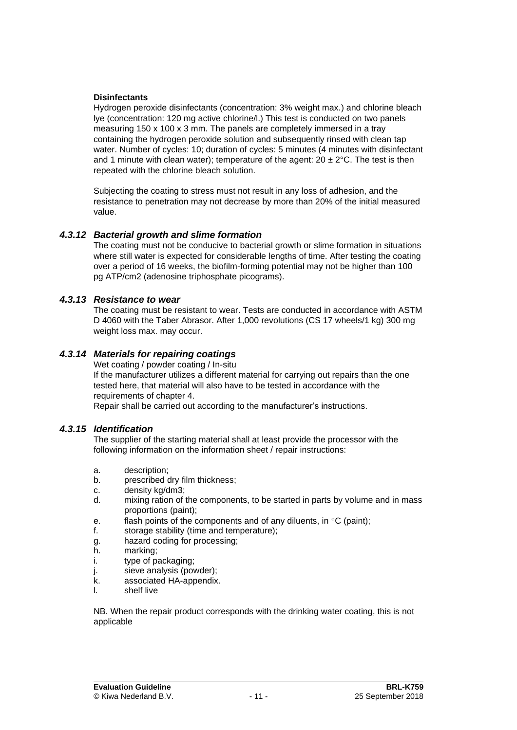#### **Disinfectants**

Hydrogen peroxide disinfectants (concentration: 3% weight max.) and chlorine bleach lye (concentration: 120 mg active chlorine/l.) This test is conducted on two panels measuring 150 x 100 x 3 mm. The panels are completely immersed in a tray containing the hydrogen peroxide solution and subsequently rinsed with clean tap water. Number of cycles: 10; duration of cycles: 5 minutes (4 minutes with disinfectant and 1 minute with clean water); temperature of the agent:  $20 \pm 2^{\circ}$ C. The test is then repeated with the chlorine bleach solution.

Subjecting the coating to stress must not result in any loss of adhesion, and the resistance to penetration may not decrease by more than 20% of the initial measured value.

#### *4.3.12 Bacterial growth and slime formation*

The coating must not be conducive to bacterial growth or slime formation in situations where still water is expected for considerable lengths of time. After testing the coating over a period of 16 weeks, the biofilm-forming potential may not be higher than 100 pg ATP/cm2 (adenosine triphosphate picograms).

#### *4.3.13 Resistance to wear*

<span id="page-11-0"></span>The coating must be resistant to wear. Tests are conducted in accordance with ASTM D 4060 with the Taber Abrasor. After 1,000 revolutions (CS 17 wheels/1 kg) 300 mg weight loss max. may occur.

#### *4.3.14 Materials for repairing coatings*

Wet coating / powder coating / In-situ

If the manufacturer utilizes a different material for carrying out repairs than the one tested here, that material will also have to be tested in accordance with the requirements of chapter 4.

Repair shall be carried out according to the manufacturer's instructions.

#### *4.3.15 Identification*

The supplier of the starting material shall at least provide the processor with the following information on the information sheet / repair instructions:

- a. description;
- b. prescribed dry film thickness;
- c. density kg/dm3;
- d. mixing ration of the components, to be started in parts by volume and in mass proportions (paint);
- e. flash points of the components and of any diluents, in  $\mathrm{C}$  (paint);
- f. storage stability (time and temperature);
- g. hazard coding for processing;
- h. marking;
- i. type of packaging;
- j. sieve analysis (powder);
- k. associated HA-appendix.
- l. shelf live

NB. When the repair product corresponds with the drinking water coating, this is not applicable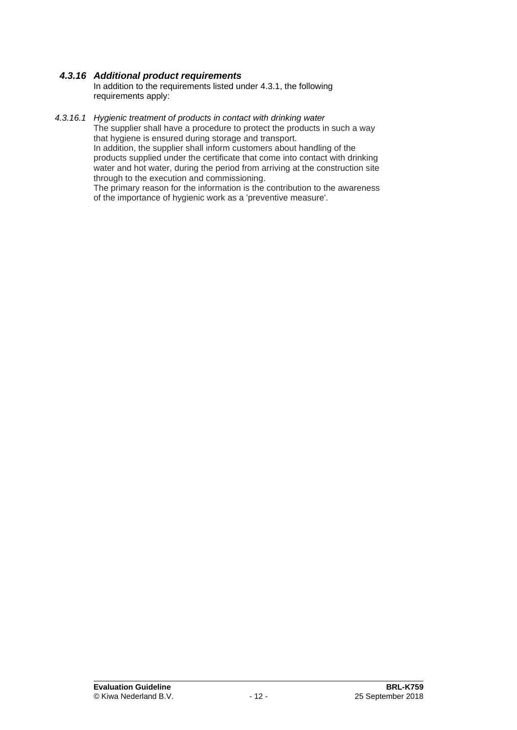### *4.3.16 Additional product requirements*

In addition to the requirements listed under 4.3.1, the following requirements apply:

#### *4.3.16.1 Hygienic treatment of products in contact with drinking water*

The supplier shall have a procedure to protect the products in such a way that hygiene is ensured during storage and transport. In addition, the supplier shall inform customers about handling of the products supplied under the certificate that come into contact with drinking water and hot water, during the period from arriving at the construction site through to the execution and commissioning.

The primary reason for the information is the contribution to the awareness of the importance of hygienic work as a 'preventive measure'.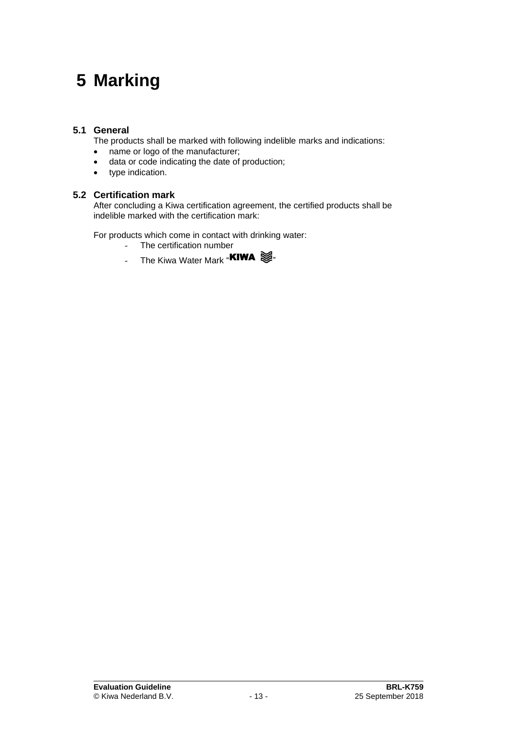# **5 Marking**

## **5.1 General**

The products shall be marked with following indelible marks and indications:

- name or logo of the manufacturer;
- data or code indicating the date of production;
- type indication.

#### **5.2 Certification mark**

After concluding a Kiwa certification agreement, the certified products shall be indelible marked with the certification mark:

For products which come in contact with drinking water:

- The certification number
- The Kiwa Water Mark "**KIWA**  $\lessgtr$ "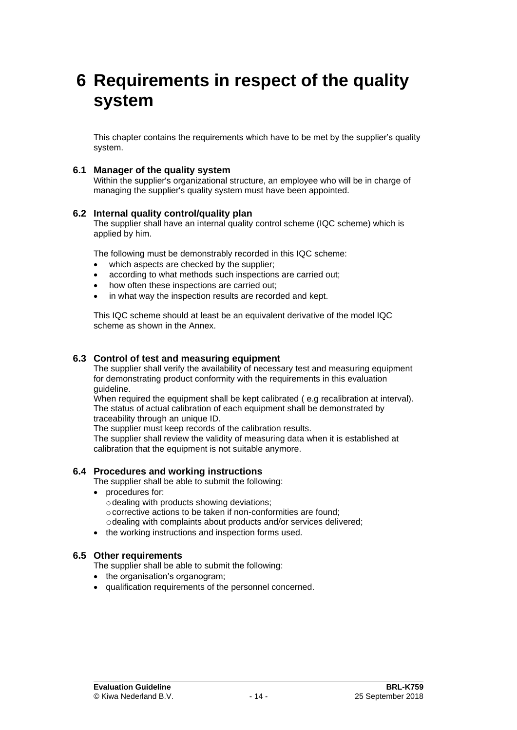## **6 Requirements in respect of the quality system**

This chapter contains the requirements which have to be met by the supplier's quality system.

#### **6.1 Manager of the quality system**

Within the supplier's organizational structure, an employee who will be in charge of managing the supplier's quality system must have been appointed.

#### **6.2 Internal quality control/quality plan**

The supplier shall have an internal quality control scheme (IQC scheme) which is applied by him.

The following must be demonstrably recorded in this IQC scheme:

- which aspects are checked by the supplier;
- according to what methods such inspections are carried out;
- how often these inspections are carried out;
- in what way the inspection results are recorded and kept.

This IQC scheme should at least be an equivalent derivative of the model IQC scheme as shown in the Annex.

#### **6.3 Control of test and measuring equipment**

The supplier shall verify the availability of necessary test and measuring equipment for demonstrating product conformity with the requirements in this evaluation guideline.

When required the equipment shall be kept calibrated ( e.g recalibration at interval). The status of actual calibration of each equipment shall be demonstrated by traceability through an unique ID.

The supplier must keep records of the calibration results.

The supplier shall review the validity of measuring data when it is established at calibration that the equipment is not suitable anymore.

#### **6.4 Procedures and working instructions**

The supplier shall be able to submit the following:

- procedures for:
	- $\circ$  dealing with products showing deviations;
	- o corrective actions to be taken if non-conformities are found;
	- odealing with complaints about products and/or services delivered;
- the working instructions and inspection forms used.

#### **6.5 Other requirements**

The supplier shall be able to submit the following:

- the organisation's organogram:
- qualification requirements of the personnel concerned.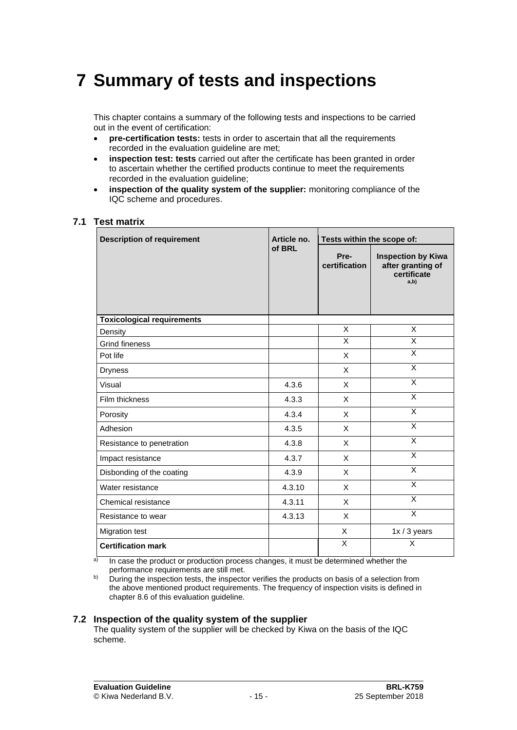# **7 Summary of tests and inspections**

This chapter contains a summary of the following tests and inspections to be carried out in the event of certification:

- **pre-certification tests:** tests in order to ascertain that all the requirements recorded in the evaluation quideline are met:
- **inspection test: tests** carried out after the certificate has been granted in order to ascertain whether the certified products continue to meet the requirements recorded in the evaluation guideline;
- **inspection of the quality system of the supplier:** monitoring compliance of the IQC scheme and procedures.

#### **7.1 Test matrix**

| <b>Description of requirement</b> | Article no. | Tests within the scope of: |                                                                       |  |
|-----------------------------------|-------------|----------------------------|-----------------------------------------------------------------------|--|
|                                   | of BRL      | Pre-<br>certification      | <b>Inspection by Kiwa</b><br>after granting of<br>certificate<br>a,b) |  |
| <b>Toxicological requirements</b> |             |                            |                                                                       |  |
| Density                           |             | X                          | X                                                                     |  |
| <b>Grind fineness</b>             |             | X                          | X                                                                     |  |
| Pot life                          |             | X                          | X                                                                     |  |
| <b>Dryness</b>                    |             | X                          | X                                                                     |  |
| Visual                            | 4.3.6       | X                          | X                                                                     |  |
| Film thickness                    | 4.3.3       | X                          | $\overline{\mathsf{x}}$                                               |  |
| Porosity                          | 4.3.4       | X                          | X                                                                     |  |
| Adhesion                          | 4.3.5       | X                          | X                                                                     |  |
| Resistance to penetration         | 4.3.8       | X                          | X                                                                     |  |
| Impact resistance                 | 4.3.7       | X                          | $\overline{\mathsf{x}}$                                               |  |
| Disbonding of the coating         | 4.3.9       | X                          | X                                                                     |  |
| Water resistance                  | 4.3.10      | X                          | $\overline{\mathsf{x}}$                                               |  |
| Chemical resistance               | 4.3.11      | X                          | X                                                                     |  |
| Resistance to wear                | 4.3.13      | X                          | $\overline{\mathsf{x}}$                                               |  |
| <b>Migration test</b>             |             | X                          | $1x/3$ years                                                          |  |
| <b>Certification mark</b>         |             | X                          | X                                                                     |  |

a) In case the product or production process changes, it must be determined whether the performance requirements are still met.

b) During the inspection tests, the inspector verifies the products on basis of a selection from the above mentioned product requirements. The frequency of inspection visits is defined in chapter [8.6](#page-19-0) of this evaluation guideline.

#### **7.2 Inspection of the quality system of the supplier**

The quality system of the supplier will be checked by Kiwa on the basis of the IQC scheme.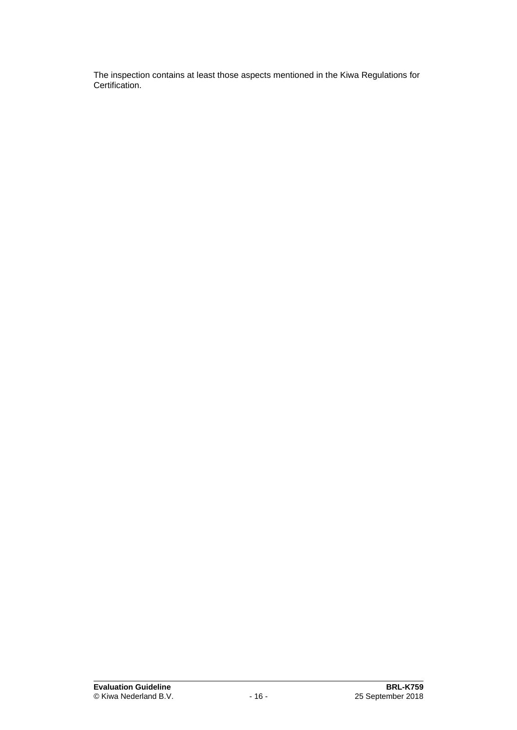The inspection contains at least those aspects mentioned in the Kiwa Regulations for Certification.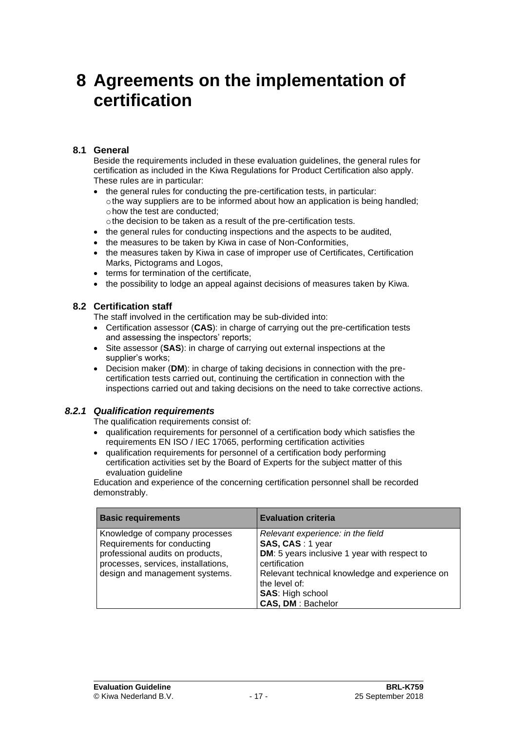## **8 Agreements on the implementation of certification**

### **8.1 General**

Beside the requirements included in these evaluation guidelines, the general rules for certification as included in the Kiwa Regulations for Product Certification also apply. These rules are in particular:

- the general rules for conducting the pre-certification tests, in particular: othe way suppliers are to be informed about how an application is being handled; ohow the test are conducted;
	- othe decision to be taken as a result of the pre-certification tests.
- the general rules for conducting inspections and the aspects to be audited,
- the measures to be taken by Kiwa in case of Non-Conformities,
- the measures taken by Kiwa in case of improper use of Certificates, Certification Marks, Pictograms and Logos,
- terms for termination of the certificate.
- <span id="page-17-0"></span>• the possibility to lodge an appeal against decisions of measures taken by Kiwa.

### **8.2 Certification staff**

The staff involved in the certification may be sub-divided into:

- Certification assessor (**CAS**): in charge of carrying out the pre-certification tests and assessing the inspectors' reports;
- Site assessor (**SAS**): in charge of carrying out external inspections at the supplier's works;
- Decision maker (**DM**): in charge of taking decisions in connection with the precertification tests carried out, continuing the certification in connection with the inspections carried out and taking decisions on the need to take corrective actions.

### *8.2.1 Qualification requirements*

The qualification requirements consist of:

- qualification requirements for personnel of a certification body which satisfies the requirements EN ISO / IEC 17065, performing certification activities
- qualification requirements for personnel of a certification body performing certification activities set by the Board of Experts for the subject matter of this evaluation quideline

Education and experience of the concerning certification personnel shall be recorded demonstrably.

| <b>Basic requirements</b>                                                                                                                                                  | <b>Evaluation criteria</b>                                                                                                                                                                                                                       |
|----------------------------------------------------------------------------------------------------------------------------------------------------------------------------|--------------------------------------------------------------------------------------------------------------------------------------------------------------------------------------------------------------------------------------------------|
| Knowledge of company processes<br>Requirements for conducting<br>professional audits on products,<br>processes, services, installations,<br>design and management systems. | Relevant experience: in the field<br>SAS, CAS: 1 year<br>DM: 5 years inclusive 1 year with respect to<br>certification<br>Relevant technical knowledge and experience on<br>the level of:<br><b>SAS: High school</b><br><b>CAS, DM: Bachelor</b> |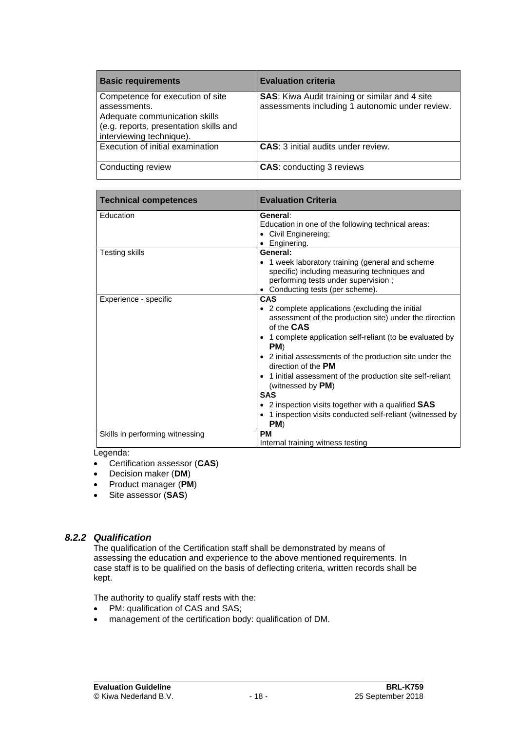| <b>Basic requirements</b>                                                                                                                               | <b>Evaluation criteria</b>                                                                               |
|---------------------------------------------------------------------------------------------------------------------------------------------------------|----------------------------------------------------------------------------------------------------------|
| Competence for execution of site<br>assessments.<br>Adequate communication skills<br>(e.g. reports, presentation skills and<br>interviewing technique). | <b>SAS:</b> Kiwa Audit training or similar and 4 site<br>assessments including 1 autonomic under review. |
| Execution of initial examination                                                                                                                        | <b>CAS:</b> 3 initial audits under review.                                                               |
| Conducting review                                                                                                                                       | <b>CAS: conducting 3 reviews</b>                                                                         |

| <b>Technical competences</b>               | <b>Evaluation Criteria</b>                                                                                                                                                                                                                                                                                                                                                                                                                                                                                                                |
|--------------------------------------------|-------------------------------------------------------------------------------------------------------------------------------------------------------------------------------------------------------------------------------------------------------------------------------------------------------------------------------------------------------------------------------------------------------------------------------------------------------------------------------------------------------------------------------------------|
| Education                                  | General:<br>Education in one of the following technical areas:<br>• Civil Enginereing;<br>• Enginering.                                                                                                                                                                                                                                                                                                                                                                                                                                   |
| Testing skills                             | General:<br>• 1 week laboratory training (general and scheme<br>specific) including measuring techniques and<br>performing tests under supervision;<br>• Conducting tests (per scheme).                                                                                                                                                                                                                                                                                                                                                   |
| Experience - specific                      | <b>CAS</b><br>• 2 complete applications (excluding the initial<br>assessment of the production site) under the direction<br>of the CAS<br>• 1 complete application self-reliant (to be evaluated by<br>PM)<br>• 2 initial assessments of the production site under the<br>direction of the <b>PM</b><br>• 1 initial assessment of the production site self-reliant<br>(witnessed by <b>PM</b> )<br><b>SAS</b><br>• 2 inspection visits together with a qualified SAS<br>• 1 inspection visits conducted self-reliant (witnessed by<br>PM) |
| Skills in performing witnessing<br>ogondo: | <b>PM</b><br>Internal training witness testing                                                                                                                                                                                                                                                                                                                                                                                                                                                                                            |

Legenda:

- Certification assessor (**CAS**)
- Decision maker (**DM**)
- Product manager (**PM**)
- Site assessor (**SAS**)

### *8.2.2 Qualification*

The qualification of the Certification staff shall be demonstrated by means of assessing the education and experience to the above mentioned requirements. In case staff is to be qualified on the basis of deflecting criteria, written records shall be kept.

The authority to qualify staff rests with the:

- PM: qualification of CAS and SAS;
- management of the certification body: qualification of DM.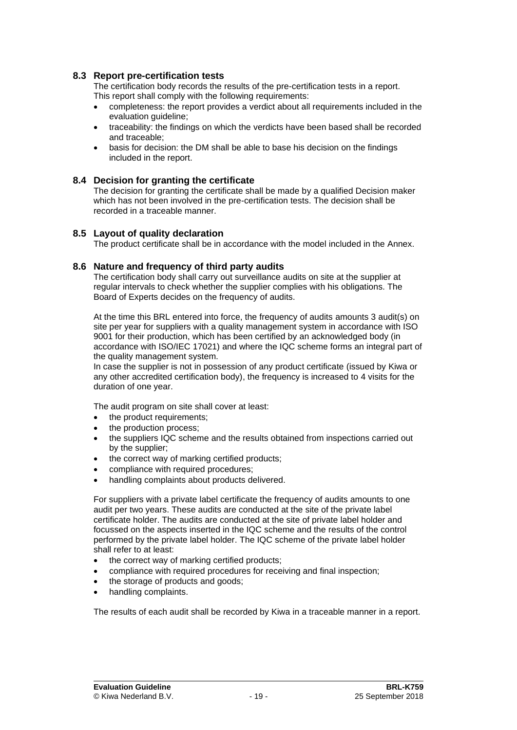#### **8.3 Report pre-certification tests**

The certification body records the results of the pre-certification tests in a report. This report shall comply with the following requirements:

- completeness: the report provides a verdict about all requirements included in the evaluation guideline;
- traceability: the findings on which the verdicts have been based shall be recorded and traceable;
- basis for decision: the DM shall be able to base his decision on the findings included in the report.

#### **8.4 Decision for granting the certificate**

The decision for granting the certificate shall be made by a qualified Decision maker which has not been involved in the pre-certification tests. The decision shall be recorded in a traceable manner.

#### **8.5 Layout of quality declaration**

<span id="page-19-0"></span>The product certificate shall be in accordance with the model included in the Annex.

#### **8.6 Nature and frequency of third party audits**

The certification body shall carry out surveillance audits on site at the supplier at regular intervals to check whether the supplier complies with his obligations. The Board of Experts decides on the frequency of audits.

At the time this BRL entered into force, the frequency of audits amounts 3 audit(s) on site per year for suppliers with a quality management system in accordance with ISO 9001 for their production, which has been certified by an acknowledged body (in accordance with ISO/IEC 17021) and where the IQC scheme forms an integral part of the quality management system.

In case the supplier is not in possession of any product certificate (issued by Kiwa or any other accredited certification body), the frequency is increased to 4 visits for the duration of one year.

The audit program on site shall cover at least:

- the product requirements;
- the production process;
- the suppliers IQC scheme and the results obtained from inspections carried out by the supplier;
- the correct way of marking certified products;
- compliance with required procedures;
- handling complaints about products delivered.

For suppliers with a private label certificate the frequency of audits amounts to one audit per two years. These audits are conducted at the site of the private label certificate holder. The audits are conducted at the site of private label holder and focussed on the aspects inserted in the IQC scheme and the results of the control performed by the private label holder. The IQC scheme of the private label holder shall refer to at least:

- the correct way of marking certified products;
- compliance with required procedures for receiving and final inspection;
- the storage of products and goods;
- handling complaints.

The results of each audit shall be recorded by Kiwa in a traceable manner in a report.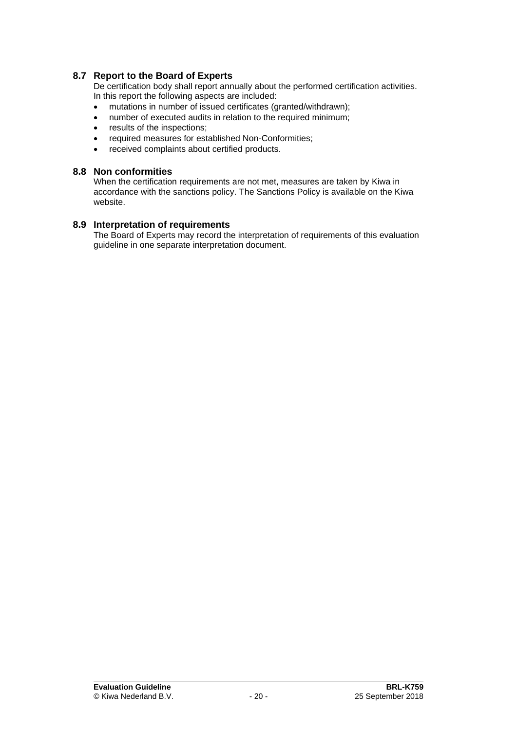### **8.7 Report to the Board of Experts**

De certification body shall report annually about the performed certification activities. In this report the following aspects are included:

- mutations in number of issued certificates (granted/withdrawn);
- number of executed audits in relation to the required minimum;
- results of the inspections;
- required measures for established Non-Conformities;
- received complaints about certified products.

#### **8.8 Non conformities**

When the certification requirements are not met, measures are taken by Kiwa in accordance with the sanctions policy. The Sanctions Policy is available on the Kiwa website.

### **8.9 Interpretation of requirements**

The Board of Experts may record the interpretation of requirements of this evaluation guideline in one separate interpretation document.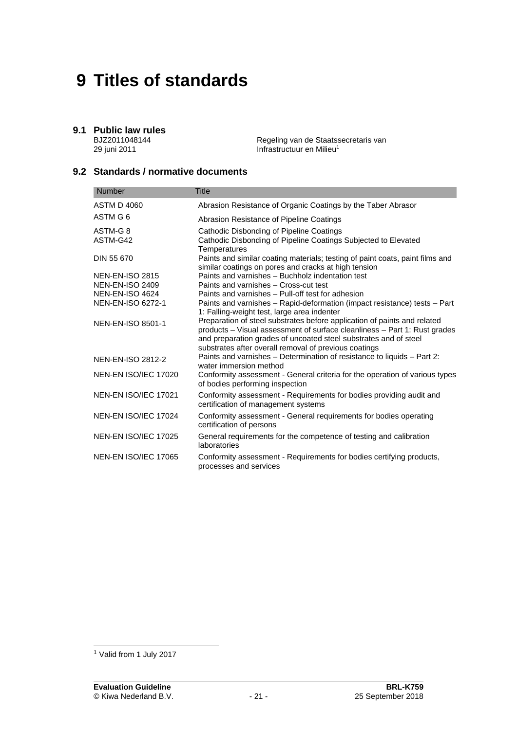# **9 Titles of standards**

## **9.1 Public law rules**

BJZ2011048144 29 juni 2011

Regeling van de Staatssecretaris van Infrastructuur en Milieu<sup>1</sup>

## **9.2 Standards / normative documents**

| <b>Number</b>            | <b>Title</b>                                                                                                                                                                                                                                                                       |
|--------------------------|------------------------------------------------------------------------------------------------------------------------------------------------------------------------------------------------------------------------------------------------------------------------------------|
| ASTM D 4060              | Abrasion Resistance of Organic Coatings by the Taber Abrasor                                                                                                                                                                                                                       |
| ASTM G 6                 | Abrasion Resistance of Pipeline Coatings                                                                                                                                                                                                                                           |
| ASTM-G8                  | Cathodic Disbonding of Pipeline Coatings                                                                                                                                                                                                                                           |
| ASTM-G42                 | Cathodic Disbonding of Pipeline Coatings Subjected to Elevated<br>Temperatures                                                                                                                                                                                                     |
| DIN 55 670               | Paints and similar coating materials; testing of paint coats, paint films and<br>similar coatings on pores and cracks at high tension                                                                                                                                              |
| <b>NEN-EN-ISO 2815</b>   | Paints and varnishes - Buchholz indentation test                                                                                                                                                                                                                                   |
| <b>NEN-EN-ISO 2409</b>   | Paints and varnishes - Cross-cut test                                                                                                                                                                                                                                              |
| <b>NEN-EN-ISO 4624</b>   | Paints and varnishes - Pull-off test for adhesion                                                                                                                                                                                                                                  |
| <b>NEN-EN-ISO 6272-1</b> | Paints and varnishes - Rapid-deformation (impact resistance) tests - Part<br>1: Falling-weight test, large area indenter                                                                                                                                                           |
| <b>NEN-EN-ISO 8501-1</b> | Preparation of steel substrates before application of paints and related<br>products - Visual assessment of surface cleanliness - Part 1: Rust grades<br>and preparation grades of uncoated steel substrates and of steel<br>substrates after overall removal of previous coatings |
| NEN-EN-ISO 2812-2        | Paints and varnishes - Determination of resistance to liquids - Part 2:<br>water immersion method                                                                                                                                                                                  |
| NEN-EN ISO/IEC 17020     | Conformity assessment - General criteria for the operation of various types<br>of bodies performing inspection                                                                                                                                                                     |
| NEN-EN ISO/IEC 17021     | Conformity assessment - Requirements for bodies providing audit and<br>certification of management systems                                                                                                                                                                         |
| NEN-EN ISO/IEC 17024     | Conformity assessment - General requirements for bodies operating<br>certification of persons                                                                                                                                                                                      |
| NEN-EN ISO/IEC 17025     | General requirements for the competence of testing and calibration<br>laboratories                                                                                                                                                                                                 |
| NEN-EN ISO/IEC 17065     | Conformity assessment - Requirements for bodies certifying products,<br>processes and services                                                                                                                                                                                     |

<sup>1</sup> Valid from 1 July 2017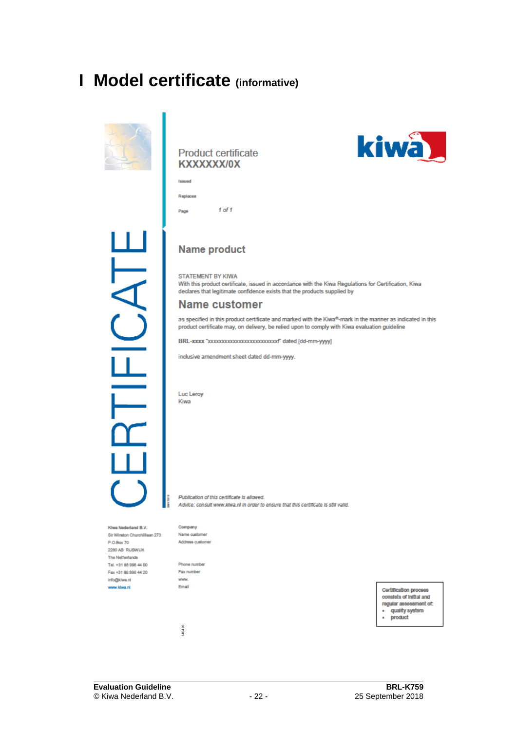## **I Model certificate (informative)**



#### **Product certificate** KXXXXXX/0X



 $1$  of  $1$ Page



## **Name product**

STATEMENT BY KIWA With this product certificate, issued in accordance with the Kiwa Regulations for Certification, Kiwa declares that legitimate confidence exists that the products supplied by

### Name customer

as specified in this product certificate and marked with the Kiwa®-mark in the manner as indicated in this product certificate may, on delivery, be relied upon to comply with Kiwa evaluation guideline

BRL-xxxx "xxxxxxxxxxxxxxxxxxxxxxxxxxx" dated [dd-mm-yyyy]

inclusive amendment sheet dated dd-mm-yyyy.

Luc Leroy Kiwa

Publication of this certificate is allowed. Advice: consult www.kiwa.nl in order to ensure that this certificate is still valid.

Kiwa Nederland B.V. Sir Winston Churchillaan 273 P.O.Box 70 2280 AB RUSWUK The Netherlands Tel. +31 88 998 44 00 Fax +31 88 998 44 20 info@kiwa.nl www.ktwa.nl

I

Company Name customer Address customer

Phone number Fax number www Email

140410

Certification process consists of initial and regular assessment of: quality system ä product

**Evaluation Guideline**<br>
© Kiwa Nederland B.V.<br>
25 September 2018 © Kiwa Nederland B.V.